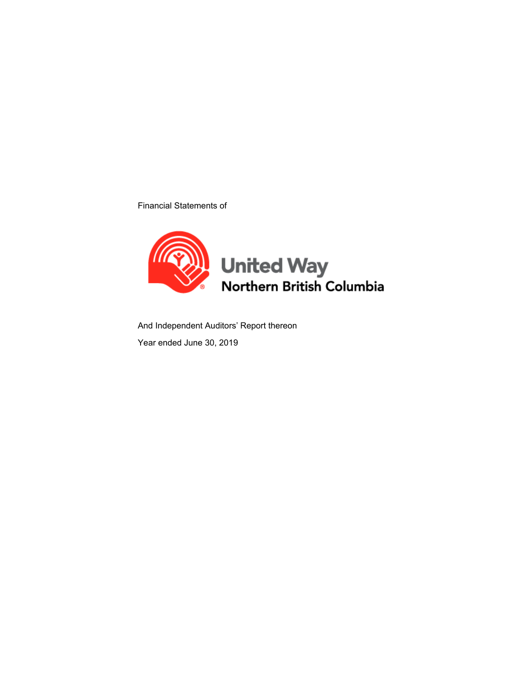Financial Statements of



And Independent Auditors' Report thereon

Year ended June 30, 2019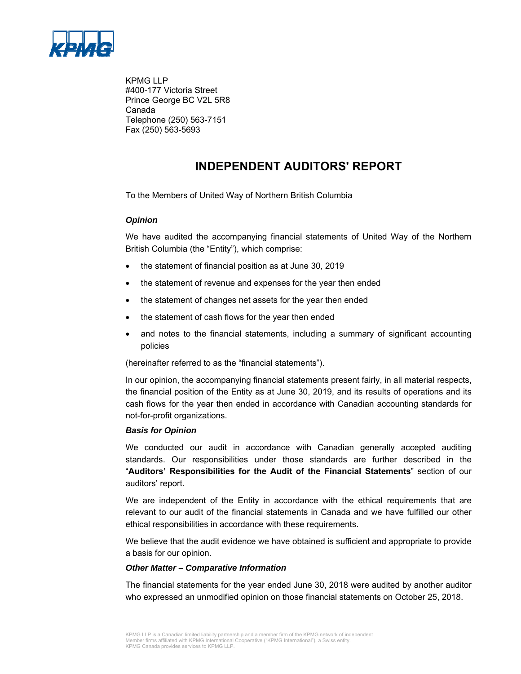

KPMG LLP #400-177 Victoria Street Prince George BC V2L 5R8 Canada Telephone (250) 563-7151 Fax (250) 563-5693

# **INDEPENDENT AUDITORS' REPORT**

To the Members of United Way of Northern British Columbia

#### *Opinion*

We have audited the accompanying financial statements of United Way of the Northern British Columbia (the "Entity"), which comprise:

- the statement of financial position as at June 30, 2019
- the statement of revenue and expenses for the year then ended
- the statement of changes net assets for the year then ended
- the statement of cash flows for the year then ended
- and notes to the financial statements, including a summary of significant accounting policies

(hereinafter referred to as the "financial statements").

In our opinion, the accompanying financial statements present fairly, in all material respects, the financial position of the Entity as at June 30, 2019, and its results of operations and its cash flows for the year then ended in accordance with Canadian accounting standards for not-for-profit organizations.

#### *Basis for Opinion*

We conducted our audit in accordance with Canadian generally accepted auditing standards. Our responsibilities under those standards are further described in the "**Auditors' Responsibilities for the Audit of the Financial Statements**" section of our auditors' report.

We are independent of the Entity in accordance with the ethical requirements that are relevant to our audit of the financial statements in Canada and we have fulfilled our other ethical responsibilities in accordance with these requirements.

We believe that the audit evidence we have obtained is sufficient and appropriate to provide a basis for our opinion.

#### *Other Matter – Comparative Information*

The financial statements for the year ended June 30, 2018 were audited by another auditor who expressed an unmodified opinion on those financial statements on October 25, 2018.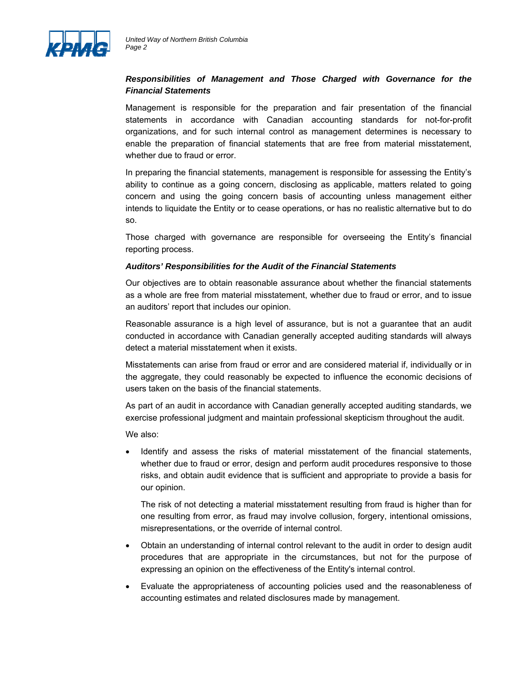

## *Responsibilities of Management and Those Charged with Governance for the Financial Statements*

Management is responsible for the preparation and fair presentation of the financial statements in accordance with Canadian accounting standards for not-for-profit organizations, and for such internal control as management determines is necessary to enable the preparation of financial statements that are free from material misstatement, whether due to fraud or error.

In preparing the financial statements, management is responsible for assessing the Entity's ability to continue as a going concern, disclosing as applicable, matters related to going concern and using the going concern basis of accounting unless management either intends to liquidate the Entity or to cease operations, or has no realistic alternative but to do so.

Those charged with governance are responsible for overseeing the Entity's financial reporting process.

#### *Auditors' Responsibilities for the Audit of the Financial Statements*

Our objectives are to obtain reasonable assurance about whether the financial statements as a whole are free from material misstatement, whether due to fraud or error, and to issue an auditors' report that includes our opinion.

Reasonable assurance is a high level of assurance, but is not a guarantee that an audit conducted in accordance with Canadian generally accepted auditing standards will always detect a material misstatement when it exists.

Misstatements can arise from fraud or error and are considered material if, individually or in the aggregate, they could reasonably be expected to influence the economic decisions of users taken on the basis of the financial statements.

As part of an audit in accordance with Canadian generally accepted auditing standards, we exercise professional judgment and maintain professional skepticism throughout the audit.

We also:

 Identify and assess the risks of material misstatement of the financial statements, whether due to fraud or error, design and perform audit procedures responsive to those risks, and obtain audit evidence that is sufficient and appropriate to provide a basis for our opinion.

The risk of not detecting a material misstatement resulting from fraud is higher than for one resulting from error, as fraud may involve collusion, forgery, intentional omissions, misrepresentations, or the override of internal control.

- Obtain an understanding of internal control relevant to the audit in order to design audit procedures that are appropriate in the circumstances, but not for the purpose of expressing an opinion on the effectiveness of the Entity's internal control.
- Evaluate the appropriateness of accounting policies used and the reasonableness of accounting estimates and related disclosures made by management.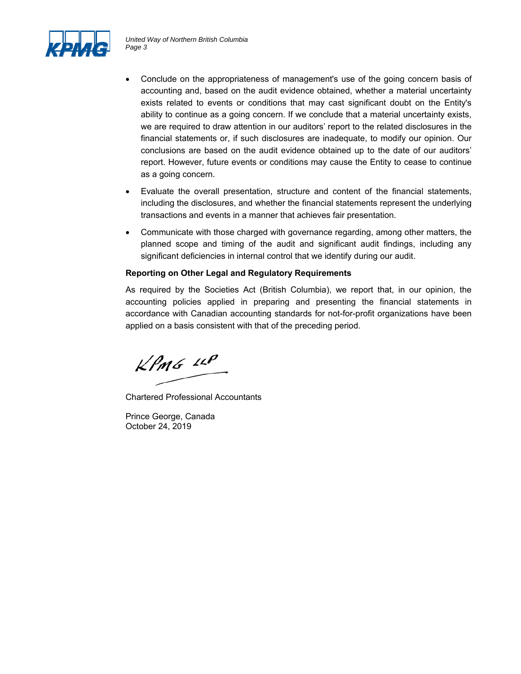

- Conclude on the appropriateness of management's use of the going concern basis of accounting and, based on the audit evidence obtained, whether a material uncertainty exists related to events or conditions that may cast significant doubt on the Entity's ability to continue as a going concern. If we conclude that a material uncertainty exists, we are required to draw attention in our auditors' report to the related disclosures in the financial statements or, if such disclosures are inadequate, to modify our opinion. Our conclusions are based on the audit evidence obtained up to the date of our auditors' report. However, future events or conditions may cause the Entity to cease to continue as a going concern.
- Evaluate the overall presentation, structure and content of the financial statements, including the disclosures, and whether the financial statements represent the underlying transactions and events in a manner that achieves fair presentation.
- Communicate with those charged with governance regarding, among other matters, the planned scope and timing of the audit and significant audit findings, including any significant deficiencies in internal control that we identify during our audit.

## **Reporting on Other Legal and Regulatory Requirements**

As required by the Societies Act (British Columbia), we report that, in our opinion, the accounting policies applied in preparing and presenting the financial statements in accordance with Canadian accounting standards for not-for-profit organizations have been applied on a basis consistent with that of the preceding period.

 $KPMG$  11P

Chartered Professional Accountants

Prince George, Canada October 24, 2019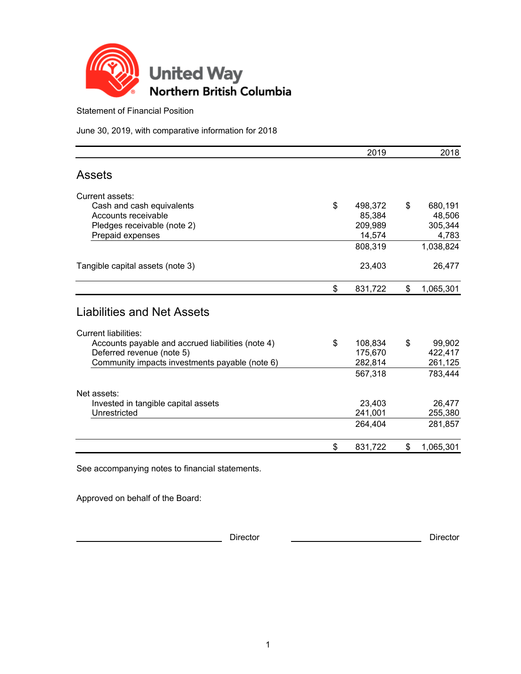

Statement of Financial Position

June 30, 2019, with comparative information for 2018

|                                                   | 2019          | 2018            |
|---------------------------------------------------|---------------|-----------------|
| <b>Assets</b>                                     |               |                 |
| Current assets:                                   |               |                 |
| Cash and cash equivalents                         | \$<br>498,372 | \$<br>680,191   |
| Accounts receivable                               | 85,384        | 48,506          |
| Pledges receivable (note 2)                       | 209,989       | 305,344         |
| Prepaid expenses                                  | 14,574        | 4,783           |
|                                                   | 808,319       | 1,038,824       |
| Tangible capital assets (note 3)                  | 23,403        | 26,477          |
|                                                   | \$<br>831,722 | \$<br>1,065,301 |
| Liabilities and Net Assets                        |               |                 |
| <b>Current liabilities:</b>                       |               |                 |
| Accounts payable and accrued liabilities (note 4) | \$<br>108,834 | \$<br>99,902    |
| Deferred revenue (note 5)                         | 175,670       | 422,417         |
| Community impacts investments payable (note 6)    | 282,814       | 261,125         |
|                                                   | 567,318       | 783,444         |
| Net assets:                                       |               |                 |
| Invested in tangible capital assets               | 23,403        | 26,477          |
| Unrestricted                                      | 241,001       | 255,380         |
|                                                   | 264,404       | 281,857         |
|                                                   | \$<br>831,722 | \$<br>1,065,301 |

See accompanying notes to financial statements.

Approved on behalf of the Board:

**Director** Director **Director** Director **Director** Director **Director Director Director**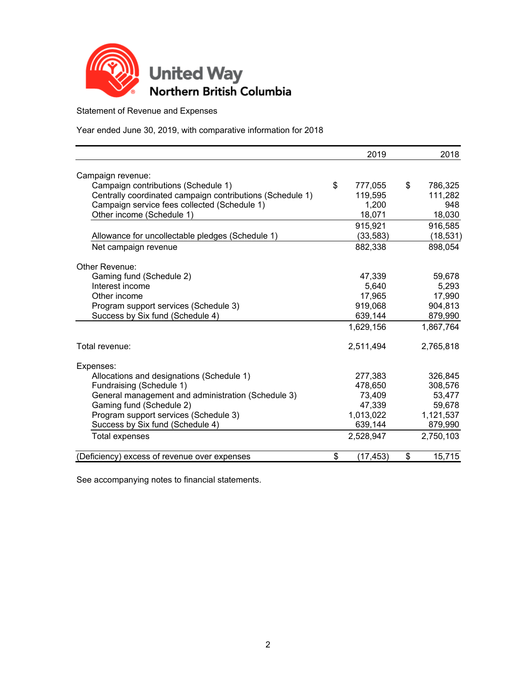

Statement of Revenue and Expenses

Year ended June 30, 2019, with comparative information for 2018

|                                                           | 2019            | 2018          |
|-----------------------------------------------------------|-----------------|---------------|
| Campaign revenue:                                         |                 |               |
| Campaign contributions (Schedule 1)                       | \$<br>777,055   | \$<br>786,325 |
| Centrally coordinated campaign contributions (Schedule 1) | 119,595         | 111,282       |
| Campaign service fees collected (Schedule 1)              | 1,200           | 948           |
| Other income (Schedule 1)                                 | 18,071          | 18,030        |
|                                                           |                 |               |
|                                                           | 915,921         | 916,585       |
| Allowance for uncollectable pledges (Schedule 1)          | (33, 583)       | (18, 531)     |
| Net campaign revenue                                      | 882,338         | 898,054       |
| Other Revenue:                                            |                 |               |
| Gaming fund (Schedule 2)                                  | 47,339          | 59,678        |
| Interest income                                           | 5,640           | 5,293         |
| Other income                                              | 17,965          | 17,990        |
| Program support services (Schedule 3)                     | 919,068         | 904,813       |
| Success by Six fund (Schedule 4)                          | 639,144         | 879,990       |
|                                                           | 1,629,156       | 1,867,764     |
| Total revenue:                                            | 2,511,494       | 2,765,818     |
|                                                           |                 |               |
| Expenses:<br>Allocations and designations (Schedule 1)    | 277,383         | 326,845       |
| Fundraising (Schedule 1)                                  | 478,650         | 308,576       |
| General management and administration (Schedule 3)        | 73,409          | 53,477        |
| Gaming fund (Schedule 2)                                  | 47,339          | 59,678        |
| Program support services (Schedule 3)                     | 1,013,022       | 1,121,537     |
| Success by Six fund (Schedule 4)                          | 639,144         | 879,990       |
| Total expenses                                            | 2,528,947       | 2,750,103     |
|                                                           |                 |               |
| (Deficiency) excess of revenue over expenses              | \$<br>(17, 453) | \$<br>15,715  |

See accompanying notes to financial statements.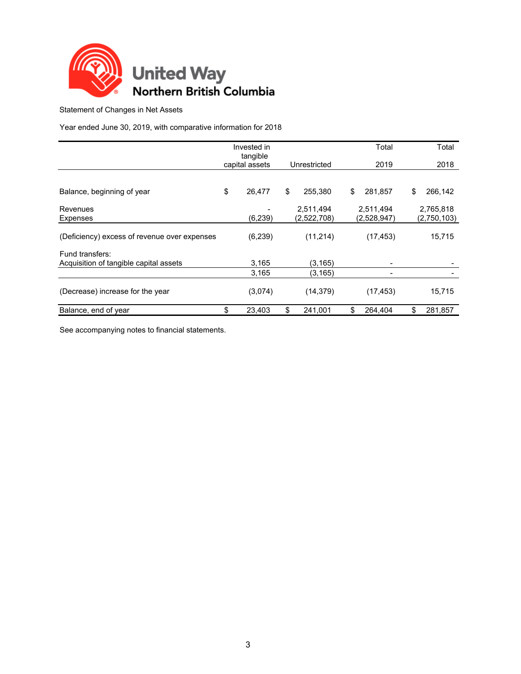

Statement of Changes in Net Assets

Year ended June 30, 2019, with comparative information for 2018

|                                              | Invested in<br>tangible |               | Total         | Total         |
|----------------------------------------------|-------------------------|---------------|---------------|---------------|
|                                              | capital assets          | Unrestricted  | 2019          | 2018          |
|                                              |                         |               |               |               |
| Balance, beginning of year                   | \$<br>26,477            | \$<br>255,380 | \$<br>281,857 | \$<br>266,142 |
| Revenues                                     |                         | 2,511,494     | 2,511,494     | 2,765,818     |
| <b>Expenses</b>                              | (6, 239)                | (2,522,708)   | (2,528,947)   | (2,750,103)   |
| (Deficiency) excess of revenue over expenses | (6, 239)                | (11, 214)     | (17, 453)     | 15,715        |
| Fund transfers:                              |                         |               |               |               |
| Acquisition of tangible capital assets       | 3,165                   | (3, 165)      |               |               |
|                                              | 3,165                   | (3, 165)      |               |               |
| (Decrease) increase for the year             | (3,074)                 | (14, 379)     | (17, 453)     | 15,715        |
| Balance, end of year                         | \$<br>23,403            | \$<br>241.001 | \$<br>264.404 | \$<br>281.857 |

See accompanying notes to financial statements.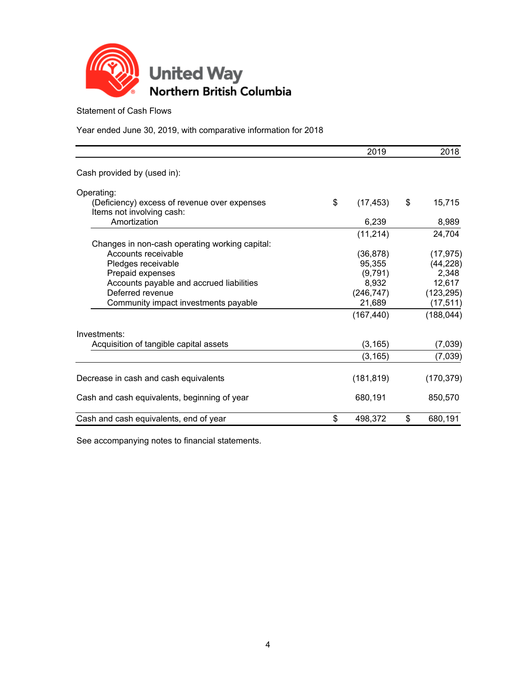

Statement of Cash Flows

Year ended June 30, 2019, with comparative information for 2018

|                                                                           | 2019            | 2018          |
|---------------------------------------------------------------------------|-----------------|---------------|
| Cash provided by (used in):                                               |                 |               |
| Operating:                                                                |                 |               |
| (Deficiency) excess of revenue over expenses<br>Items not involving cash: | \$<br>(17, 453) | \$<br>15,715  |
| Amortization                                                              | 6,239           | 8,989         |
|                                                                           | (11, 214)       | 24,704        |
| Changes in non-cash operating working capital:                            |                 |               |
| Accounts receivable                                                       | (36, 878)       | (17, 975)     |
| Pledges receivable                                                        | 95,355          | (44, 228)     |
| Prepaid expenses                                                          | (9,791)         | 2,348         |
| Accounts payable and accrued liabilities                                  | 8,932           | 12,617        |
| Deferred revenue                                                          | (246, 747)      | (123, 295)    |
| Community impact investments payable                                      | 21,689          | (17, 511)     |
|                                                                           | (167, 440)      | (188, 044)    |
| Investments:                                                              |                 |               |
| Acquisition of tangible capital assets                                    | (3, 165)        | (7,039)       |
|                                                                           | (3, 165)        | (7,039)       |
| Decrease in cash and cash equivalents                                     | (181, 819)      | (170, 379)    |
| Cash and cash equivalents, beginning of year                              | 680,191         | 850,570       |
| Cash and cash equivalents, end of year                                    | \$<br>498,372   | \$<br>680,191 |

See accompanying notes to financial statements.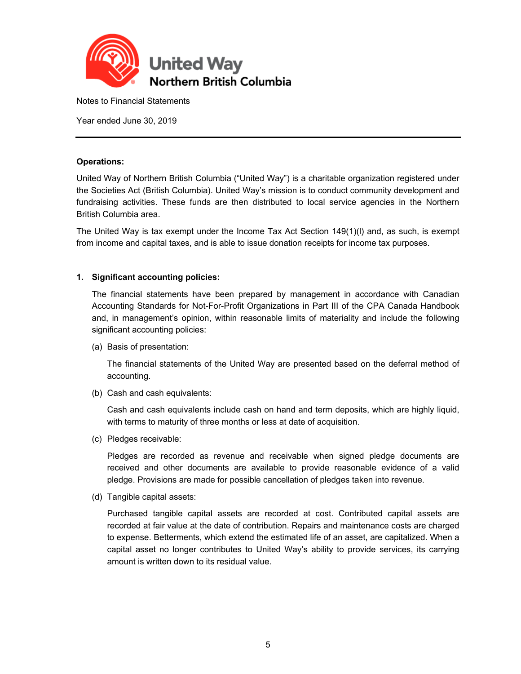

Notes to Financial Statements

Year ended June 30, 2019

#### **Operations:**

United Way of Northern British Columbia ("United Way") is a charitable organization registered under the Societies Act (British Columbia). United Way's mission is to conduct community development and fundraising activities. These funds are then distributed to local service agencies in the Northern British Columbia area.

The United Way is tax exempt under the Income Tax Act Section 149(1)(l) and, as such, is exempt from income and capital taxes, and is able to issue donation receipts for income tax purposes.

#### **1. Significant accounting policies:**

The financial statements have been prepared by management in accordance with Canadian Accounting Standards for Not-For-Profit Organizations in Part III of the CPA Canada Handbook and, in management's opinion, within reasonable limits of materiality and include the following significant accounting policies:

(a) Basis of presentation:

The financial statements of the United Way are presented based on the deferral method of accounting.

(b) Cash and cash equivalents:

Cash and cash equivalents include cash on hand and term deposits, which are highly liquid, with terms to maturity of three months or less at date of acquisition.

(c) Pledges receivable:

Pledges are recorded as revenue and receivable when signed pledge documents are received and other documents are available to provide reasonable evidence of a valid pledge. Provisions are made for possible cancellation of pledges taken into revenue.

(d) Tangible capital assets:

Purchased tangible capital assets are recorded at cost. Contributed capital assets are recorded at fair value at the date of contribution. Repairs and maintenance costs are charged to expense. Betterments, which extend the estimated life of an asset, are capitalized. When a capital asset no longer contributes to United Way's ability to provide services, its carrying amount is written down to its residual value.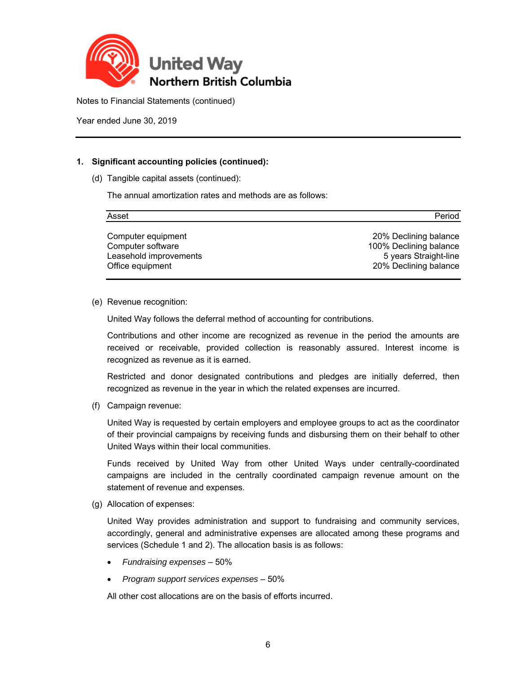

Year ended June 30, 2019

## **1. Significant accounting policies (continued):**

(d) Tangible capital assets (continued):

The annual amortization rates and methods are as follows:

| Asset                                      | Period                                         |
|--------------------------------------------|------------------------------------------------|
| Computer equipment                         | 20% Declining balance                          |
| Computer software                          | 100% Declining balance                         |
| Leasehold improvements<br>Office equipment | 5 years Straight-line<br>20% Declining balance |

(e) Revenue recognition:

United Way follows the deferral method of accounting for contributions.

Contributions and other income are recognized as revenue in the period the amounts are received or receivable, provided collection is reasonably assured. Interest income is recognized as revenue as it is earned.

Restricted and donor designated contributions and pledges are initially deferred, then recognized as revenue in the year in which the related expenses are incurred.

(f) Campaign revenue:

United Way is requested by certain employers and employee groups to act as the coordinator of their provincial campaigns by receiving funds and disbursing them on their behalf to other United Ways within their local communities.

Funds received by United Way from other United Ways under centrally-coordinated campaigns are included in the centrally coordinated campaign revenue amount on the statement of revenue and expenses.

(g) Allocation of expenses:

United Way provides administration and support to fundraising and community services, accordingly, general and administrative expenses are allocated among these programs and services (Schedule 1 and 2). The allocation basis is as follows:

- *Fundraising expenses* 50%
- *Program support services expenses* 50%

All other cost allocations are on the basis of efforts incurred.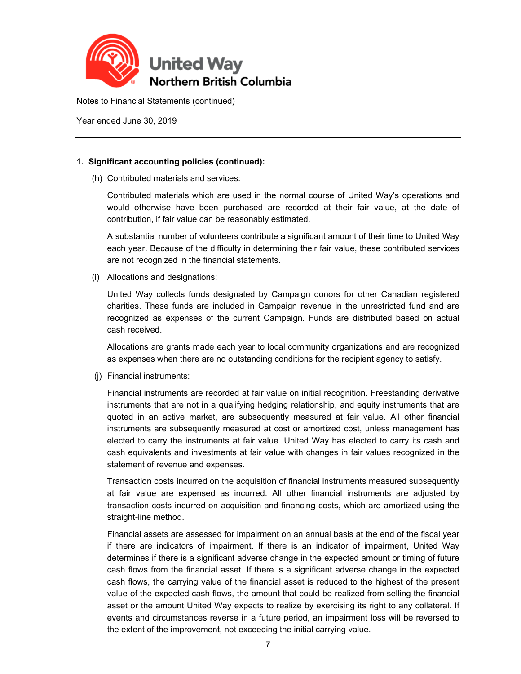

Year ended June 30, 2019

## **1. Significant accounting policies (continued):**

(h) Contributed materials and services:

Contributed materials which are used in the normal course of United Way's operations and would otherwise have been purchased are recorded at their fair value, at the date of contribution, if fair value can be reasonably estimated.

A substantial number of volunteers contribute a significant amount of their time to United Way each year. Because of the difficulty in determining their fair value, these contributed services are not recognized in the financial statements.

(i) Allocations and designations:

United Way collects funds designated by Campaign donors for other Canadian registered charities. These funds are included in Campaign revenue in the unrestricted fund and are recognized as expenses of the current Campaign. Funds are distributed based on actual cash received.

Allocations are grants made each year to local community organizations and are recognized as expenses when there are no outstanding conditions for the recipient agency to satisfy.

(j) Financial instruments:

Financial instruments are recorded at fair value on initial recognition. Freestanding derivative instruments that are not in a qualifying hedging relationship, and equity instruments that are quoted in an active market, are subsequently measured at fair value. All other financial instruments are subsequently measured at cost or amortized cost, unless management has elected to carry the instruments at fair value. United Way has elected to carry its cash and cash equivalents and investments at fair value with changes in fair values recognized in the statement of revenue and expenses.

Transaction costs incurred on the acquisition of financial instruments measured subsequently at fair value are expensed as incurred. All other financial instruments are adjusted by transaction costs incurred on acquisition and financing costs, which are amortized using the straight-line method.

Financial assets are assessed for impairment on an annual basis at the end of the fiscal year if there are indicators of impairment. If there is an indicator of impairment, United Way determines if there is a significant adverse change in the expected amount or timing of future cash flows from the financial asset. If there is a significant adverse change in the expected cash flows, the carrying value of the financial asset is reduced to the highest of the present value of the expected cash flows, the amount that could be realized from selling the financial asset or the amount United Way expects to realize by exercising its right to any collateral. If events and circumstances reverse in a future period, an impairment loss will be reversed to the extent of the improvement, not exceeding the initial carrying value.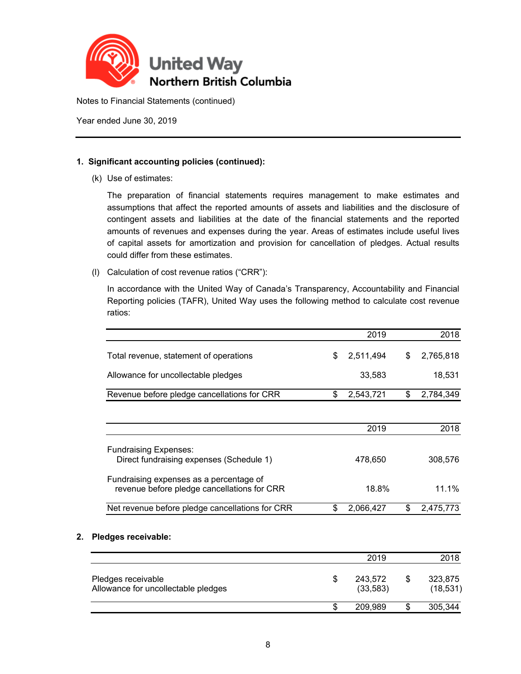

Year ended June 30, 2019

## **1. Significant accounting policies (continued):**

(k) Use of estimates:

The preparation of financial statements requires management to make estimates and assumptions that affect the reported amounts of assets and liabilities and the disclosure of contingent assets and liabilities at the date of the financial statements and the reported amounts of revenues and expenses during the year. Areas of estimates include useful lives of capital assets for amortization and provision for cancellation of pledges. Actual results could differ from these estimates.

(l) Calculation of cost revenue ratios ("CRR"):

In accordance with the United Way of Canada's Transparency, Accountability and Financial Reporting policies (TAFR), United Way uses the following method to calculate cost revenue ratios:

|                                                                                        | 2019                       | 2018                       |
|----------------------------------------------------------------------------------------|----------------------------|----------------------------|
| Total revenue, statement of operations                                                 | \$<br>2,511,494            | \$<br>2,765,818            |
| Allowance for uncollectable pledges                                                    | 33,583                     | 18,531                     |
| Revenue before pledge cancellations for CRR                                            | \$<br>2,543,721            | \$<br>2,784,349            |
|                                                                                        | 2019                       | 2018                       |
| <b>Fundraising Expenses:</b><br>Direct fundraising expenses (Schedule 1)               | 478,650                    | 308,576                    |
| Fundraising expenses as a percentage of<br>revenue before pledge cancellations for CRR | 18.8%                      | 11.1%                      |
| Net revenue before pledge cancellations for CRR                                        | \$<br>2,066,427            | \$<br>2,475,773            |
| Pledges receivable:                                                                    |                            |                            |
|                                                                                        | 2019                       | 2018                       |
| Pledges receivable<br>Allowance for uncollectable pledges                              | \$<br>243,572<br>(33, 583) | \$<br>323,875<br>(18, 531) |

 $\texttt{\$} \qquad \texttt{209,989} \qquad \texttt{\$} \qquad \texttt{305,344}$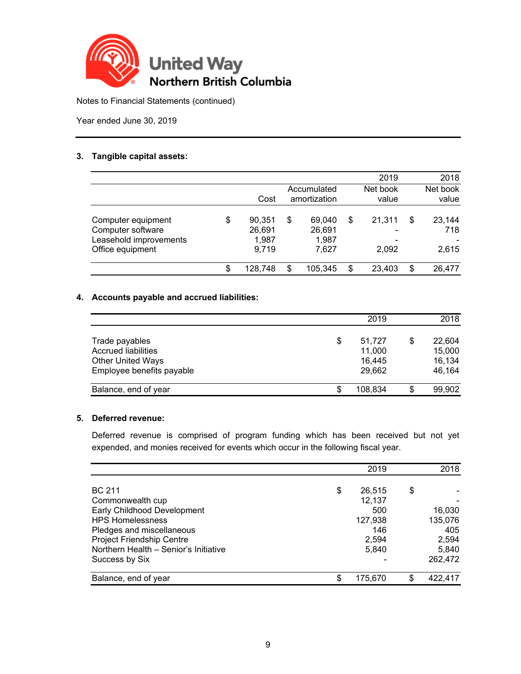

Year ended June 30, 2019

### **3. Tangible capital assets:**

|                                                                                       |                                          |                                          | 2019                  | 2018                         |
|---------------------------------------------------------------------------------------|------------------------------------------|------------------------------------------|-----------------------|------------------------------|
|                                                                                       | Cost                                     | Accumulated<br>amortization              | Net book<br>value     | Net book<br>value            |
| Computer equipment<br>Computer software<br>Leasehold improvements<br>Office equipment | \$<br>90,351<br>26,691<br>1,987<br>9,719 | \$<br>69,040<br>26,691<br>1.987<br>7.627 | \$<br>21.311<br>2,092 | \$<br>23,144<br>718<br>2,615 |
|                                                                                       | \$<br>128,748                            | \$<br>105,345                            | \$<br>23,403          | \$<br>26,477                 |

## **4. Accounts payable and accrued liabilities:**

|                                                                                                       | 2019                                       |    | 2018                                 |
|-------------------------------------------------------------------------------------------------------|--------------------------------------------|----|--------------------------------------|
| Trade payables<br><b>Accrued liabilities</b><br><b>Other United Ways</b><br>Employee benefits payable | \$<br>51,727<br>11,000<br>16,445<br>29,662 | S  | 22,604<br>15,000<br>16,134<br>46,164 |
| Balance, end of year                                                                                  | \$<br>108.834                              | \$ | 99,902                               |

## **5. Deferred revenue:**

Deferred revenue is comprised of program funding which has been received but not yet expended, and monies received for events which occur in the following fiscal year.

|                                       | 2019          |    | 2018    |
|---------------------------------------|---------------|----|---------|
| <b>BC 211</b>                         | \$<br>26,515  | \$ |         |
| Commonwealth cup                      | 12,137        |    |         |
| Early Childhood Development           | 500           |    | 16,030  |
| <b>HPS Homelessness</b>               | 127,938       |    | 135,076 |
| Pledges and miscellaneous             | 146           |    | 405     |
| Project Friendship Centre             | 2,594         |    | 2,594   |
| Northern Health - Senior's Initiative | 5,840         |    | 5,840   |
| Success by Six                        |               |    | 262,472 |
| Balance, end of year                  | \$<br>175,670 | S  | 422,417 |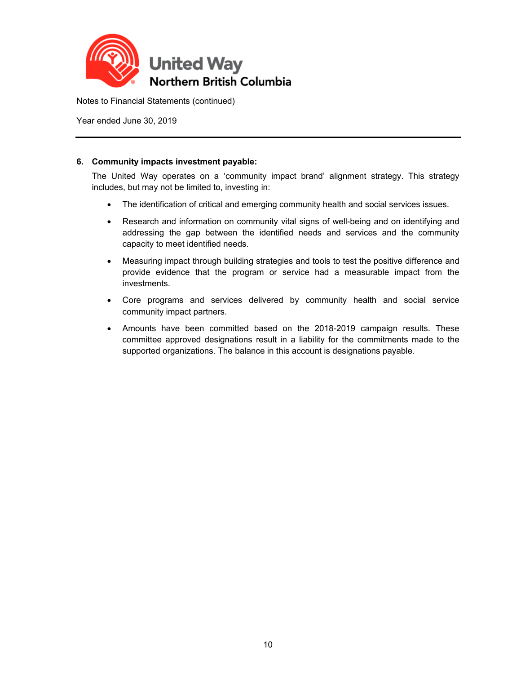

Year ended June 30, 2019

### **6. Community impacts investment payable:**

The United Way operates on a 'community impact brand' alignment strategy. This strategy includes, but may not be limited to, investing in:

- The identification of critical and emerging community health and social services issues.
- Research and information on community vital signs of well-being and on identifying and addressing the gap between the identified needs and services and the community capacity to meet identified needs.
- Measuring impact through building strategies and tools to test the positive difference and provide evidence that the program or service had a measurable impact from the investments.
- Core programs and services delivered by community health and social service community impact partners.
- Amounts have been committed based on the 2018-2019 campaign results. These committee approved designations result in a liability for the commitments made to the supported organizations. The balance in this account is designations payable.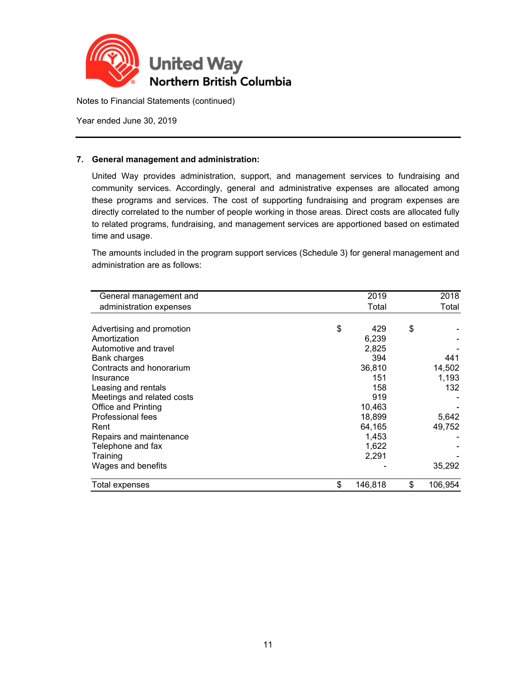

Year ended June 30, 2019

### **7. General management and administration:**

United Way provides administration, support, and management services to fundraising and community services. Accordingly, general and administrative expenses are allocated among these programs and services. The cost of supporting fundraising and program expenses are directly correlated to the number of people working in those areas. Direct costs are allocated fully to related programs, fundraising, and management services are apportioned based on estimated time and usage.

The amounts included in the program support services (Schedule 3) for general management and administration are as follows:

| General management and     | 2019          | 2018          |
|----------------------------|---------------|---------------|
| administration expenses    | Total         | Total         |
|                            |               |               |
| Advertising and promotion  | \$<br>429     | \$            |
| Amortization               | 6,239         |               |
| Automotive and travel      | 2,825         |               |
| Bank charges               | 394           | 441           |
| Contracts and honorarium   | 36,810        | 14,502        |
| Insurance                  | 151           | 1,193         |
| Leasing and rentals        | 158           | 132           |
| Meetings and related costs | 919           |               |
| Office and Printing        | 10,463        |               |
| Professional fees          | 18,899        | 5,642         |
| Rent                       | 64,165        | 49,752        |
| Repairs and maintenance    | 1,453         |               |
| Telephone and fax          | 1,622         |               |
| Training                   | 2,291         |               |
| Wages and benefits         |               | 35,292        |
| Total expenses             | \$<br>146,818 | \$<br>106.954 |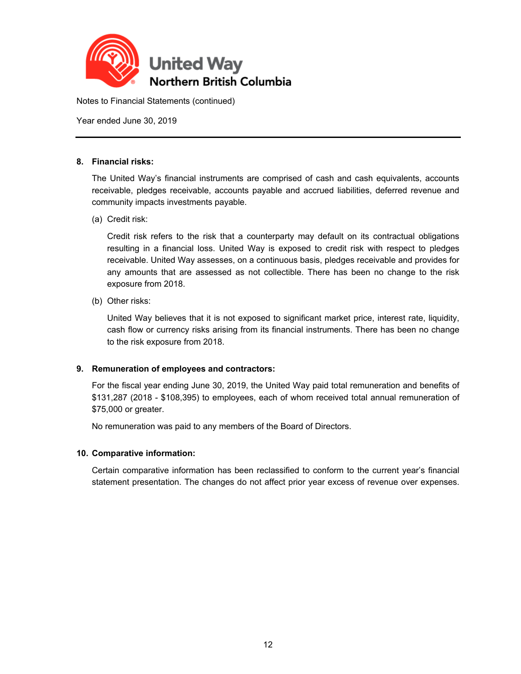

Year ended June 30, 2019

#### **8. Financial risks:**

The United Way's financial instruments are comprised of cash and cash equivalents, accounts receivable, pledges receivable, accounts payable and accrued liabilities, deferred revenue and community impacts investments payable.

(a) Credit risk:

Credit risk refers to the risk that a counterparty may default on its contractual obligations resulting in a financial loss. United Way is exposed to credit risk with respect to pledges receivable. United Way assesses, on a continuous basis, pledges receivable and provides for any amounts that are assessed as not collectible. There has been no change to the risk exposure from 2018.

(b) Other risks:

United Way believes that it is not exposed to significant market price, interest rate, liquidity, cash flow or currency risks arising from its financial instruments. There has been no change to the risk exposure from 2018.

## **9. Remuneration of employees and contractors:**

For the fiscal year ending June 30, 2019, the United Way paid total remuneration and benefits of \$131,287 (2018 - \$108,395) to employees, each of whom received total annual remuneration of \$75,000 or greater.

No remuneration was paid to any members of the Board of Directors.

#### **10. Comparative information:**

Certain comparative information has been reclassified to conform to the current year's financial statement presentation. The changes do not affect prior year excess of revenue over expenses.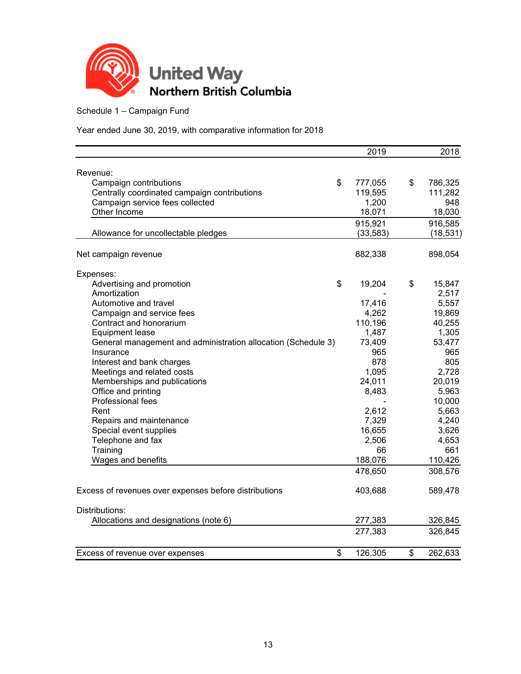

Schedule 1 – Campaign Fund

|                                                               | 2019          | 2018          |
|---------------------------------------------------------------|---------------|---------------|
|                                                               |               |               |
| Revenue:                                                      |               |               |
| Campaign contributions                                        | \$<br>777,055 | \$<br>786,325 |
| Centrally coordinated campaign contributions                  | 119,595       | 111,282       |
| Campaign service fees collected                               | 1,200         | 948           |
| Other Income                                                  | 18,071        | 18,030        |
|                                                               | 915,921       | 916,585       |
| Allowance for uncollectable pledges                           | (33, 583)     | (18, 531)     |
| Net campaign revenue                                          | 882,338       | 898,054       |
| Expenses:                                                     |               |               |
| Advertising and promotion                                     | \$<br>19,204  | \$<br>15,847  |
| Amortization                                                  |               | 2,517         |
| Automotive and travel                                         | 17,416        | 5,557         |
| Campaign and service fees                                     | 4,262         | 19,869        |
| Contract and honorarium                                       | 110,196       | 40,255        |
|                                                               |               |               |
| <b>Equipment lease</b>                                        | 1,487         | 1,305         |
| General management and administration allocation (Schedule 3) | 73,409<br>965 | 53,477        |
| Insurance                                                     |               | 965           |
| Interest and bank charges                                     | 878           | 805           |
| Meetings and related costs                                    | 1,095         | 2,728         |
| Memberships and publications                                  | 24,011        | 20,019        |
| Office and printing                                           | 8,483         | 5,963         |
| Professional fees                                             |               | 10,000        |
| Rent                                                          | 2,612         | 5,663         |
| Repairs and maintenance                                       | 7,329         | 4,240         |
| Special event supplies                                        | 16,655        | 3,626         |
| Telephone and fax                                             | 2,506         | 4,653         |
| Training                                                      | 66            | 661           |
| Wages and benefits                                            | 188,076       | 110,426       |
|                                                               | 478,650       | 308,576       |
| Excess of revenues over expenses before distributions         | 403,688       | 589,478       |
| Distributions:                                                |               |               |
| Allocations and designations (note 6)                         | 277,383       | 326,845       |
|                                                               | 277,383       | 326,845       |
| Excess of revenue over expenses                               | \$<br>126,305 | \$<br>262,633 |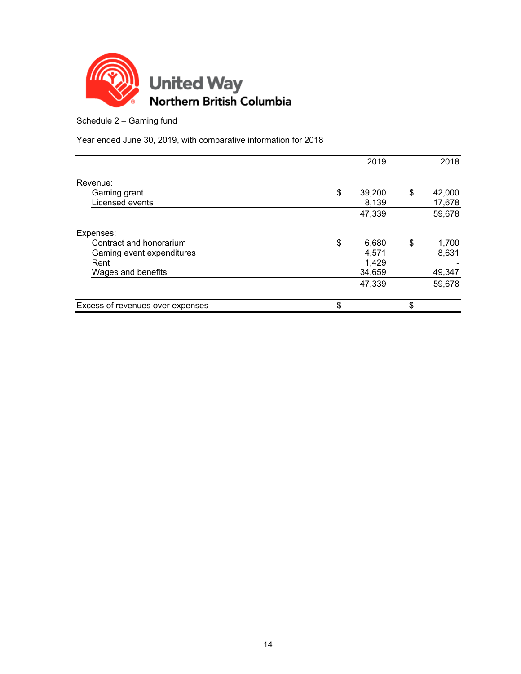

Schedule 2 – Gaming fund

|                                  | 2019         | 2018         |
|----------------------------------|--------------|--------------|
|                                  |              |              |
| Revenue:                         |              |              |
| Gaming grant                     | \$<br>39,200 | \$<br>42,000 |
| Licensed events                  | 8,139        | 17,678       |
|                                  | 47,339       | 59,678       |
| Expenses:                        |              |              |
| Contract and honorarium          | \$<br>6,680  | \$<br>1,700  |
| Gaming event expenditures        | 4,571        | 8,631        |
| Rent                             | 1,429        |              |
| Wages and benefits               | 34,659       | 49,347       |
|                                  | 47,339       | 59,678       |
| Excess of revenues over expenses | \$           | \$           |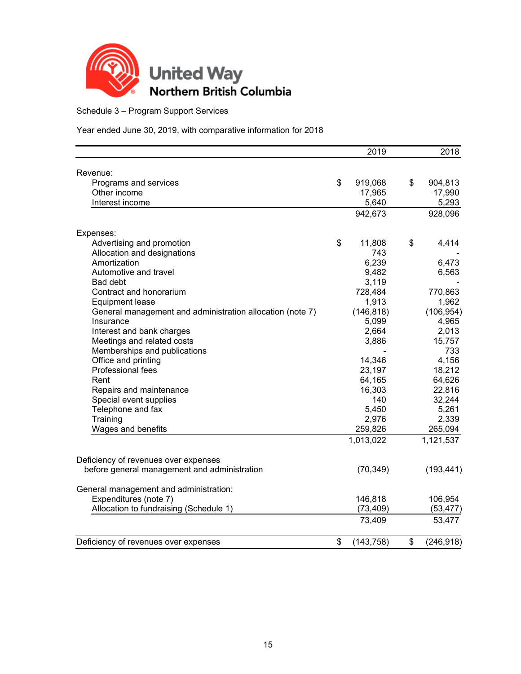

Schedule 3 – Program Support Services

|                                                           | 2019             | 2018             |
|-----------------------------------------------------------|------------------|------------------|
| Revenue:                                                  |                  |                  |
| Programs and services                                     | \$<br>919,068    | \$<br>904,813    |
| Other income                                              | 17,965           | 17,990           |
| Interest income                                           | 5,640            | 5,293            |
|                                                           | 942,673          | 928,096          |
|                                                           |                  |                  |
| Expenses:<br>Advertising and promotion                    | \$<br>11,808     | \$<br>4,414      |
| Allocation and designations                               | 743              |                  |
| Amortization                                              | 6,239            | 6,473            |
| Automotive and travel                                     | 9,482            | 6,563            |
| Bad debt                                                  | 3,119            |                  |
| Contract and honorarium                                   | 728,484          | 770,863          |
| Equipment lease                                           | 1,913            | 1,962            |
| General management and administration allocation (note 7) | (146, 818)       | (106, 954)       |
| Insurance                                                 | 5,099            | 4,965            |
| Interest and bank charges                                 | 2,664            | 2,013            |
| Meetings and related costs                                | 3,886            | 15,757           |
| Memberships and publications                              |                  | 733              |
| Office and printing                                       | 14,346           | 4,156            |
| Professional fees                                         | 23,197           | 18,212           |
| Rent                                                      | 64,165           | 64,626           |
| Repairs and maintenance                                   | 16,303           | 22,816           |
| Special event supplies                                    | 140              | 32,244           |
| Telephone and fax                                         | 5,450            | 5,261            |
| Training                                                  | 2,976            | 2,339            |
| Wages and benefits                                        | 259,826          | 265,094          |
|                                                           | 1,013,022        | 1,121,537        |
| Deficiency of revenues over expenses                      |                  |                  |
| before general management and administration              | (70, 349)        | (193, 441)       |
| General management and administration:                    |                  |                  |
| Expenditures (note 7)                                     | 146,818          | 106,954          |
| Allocation to fundraising (Schedule 1)                    | (73, 409)        | (53, 477)        |
|                                                           | 73,409           | 53,477           |
| Deficiency of revenues over expenses                      | \$<br>(143, 758) | \$<br>(246, 918) |